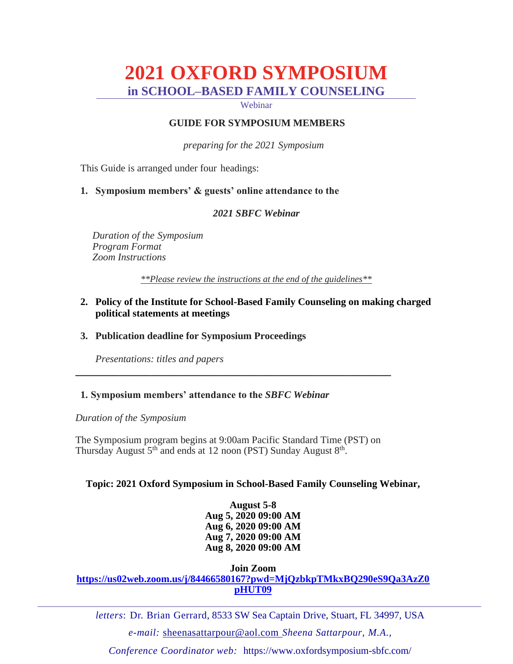# **2021 OXFORD SYMPOSIUM in SCHOOL–BASED FAMILY COUNSELING**

Webinar

## **GUIDE FOR SYMPOSIUM MEMBERS**

*preparing for the 2021 Symposium*

This Guide is arranged under four headings:

## **1. Symposium members' & guests' online attendance to the**

#### *2021 SBFC Webinar*

*Duration of the Symposium Program Format Zoom Instructions* 

*\*\*Please review the instructions at the end of the guidelines\*\**

#### **2. Policy of the Institute for School-Based Family Counseling on making charged political statements at meetings**

#### **3. Publication deadline for Symposium Proceedings**

*Presentations: titles and papers*

#### **1. Symposium members' attendance to the** *SBFC Webinar*

*Duration of the Symposium*

The Symposium program begins at 9:00am Pacific Standard Time (PST) on Thursday August 5<sup>th</sup> and ends at 12 noon (PST) Sunday August 8<sup>th</sup>.

**\_\_\_\_\_\_\_\_\_\_\_\_\_\_\_\_\_\_\_\_\_\_\_\_\_\_\_\_\_\_\_\_\_\_\_\_\_\_\_\_\_\_\_\_\_\_\_\_\_\_\_\_\_\_\_\_\_\_**

#### **Topic: 2021 Oxford Symposium in School-Based Family Counseling Webinar,**

**August 5-8 Aug 5, 2020 09:00 AM Aug 6, 2020 09:00 AM Aug 7, 2020 09:00 AM Aug 8, 2020 09:00 AM**

**Join Zoom** 

**[https://us02web.zoom.us/j/84466580167?pwd=MjQzbkpTMkxBQ290eS9Qa3AzZ0](https://us02web.zoom.us/j/84466580167?pwd=MjQzbkpTMkxBQ290eS9Qa3AzZ0pHUT09) [pHUT09](https://us02web.zoom.us/j/84466580167?pwd=MjQzbkpTMkxBQ290eS9Qa3AzZ0pHUT09)**

*letters*: Dr. Brian Gerrard, 8533 SW Sea Captain Drive, Stuart, FL 34997, USA

*e-mail:* [sheenasattarpour@aol.com](mailto:sheenasattarpour@aol.com) *Sheena Sattarpour, M.A.,*

*Conference Coordinator web:* https://www.oxfordsymposium-sbfc.com/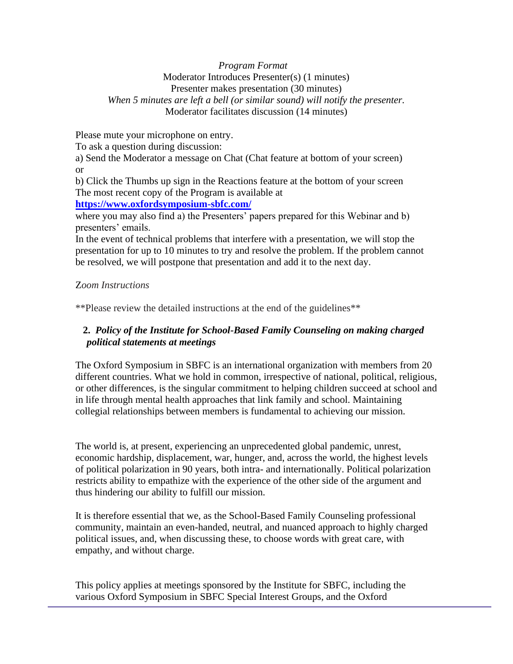#### *Program Format* Moderator Introduces Presenter(s) (1 minutes) Presenter makes presentation (30 minutes) *When 5 minutes are left a bell (or similar sound) will notify the presenter.* Moderator facilitates discussion (14 minutes)

Please mute your microphone on entry.

To ask a question during discussion:

a) Send the Moderator a message on Chat (Chat feature at bottom of your screen) or

b) Click the Thumbs up sign in the Reactions feature at the bottom of your screen The most recent copy of the Program is available at

**<https://www.oxfordsymposium-sbfc.com/>**

where you may also find a) the Presenters' papers prepared for this Webinar and b) presenters' emails.

In the event of technical problems that interfere with a presentation, we will stop the presentation for up to 10 minutes to try and resolve the problem. If the problem cannot be resolved, we will postpone that presentation and add it to the next day.

## Z*oom Instructions*

\*\*Please review the detailed instructions at the end of the guidelines\*\*

## **2.** *Policy of the Institute for School-Based Family Counseling on making charged political statements at meetings*

The Oxford Symposium in SBFC is an international organization with members from 20 different countries. What we hold in common, irrespective of national, political, religious, or other differences, is the singular commitment to helping children succeed at school and in life through mental health approaches that link family and school. Maintaining collegial relationships between members is fundamental to achieving our mission.

The world is, at present, experiencing an unprecedented global pandemic, unrest, economic hardship, displacement, war, hunger, and, across the world, the highest levels of political polarization in 90 years, both intra- and internationally. Political polarization restricts ability to empathize with the experience of the other side of the argument and thus hindering our ability to fulfill our mission.

It is therefore essential that we, as the School-Based Family Counseling professional community, maintain an even-handed, neutral, and nuanced approach to highly charged political issues, and, when discussing these, to choose words with great care, with empathy, and without charge.

This policy applies at meetings sponsored by the Institute for SBFC, including the various Oxford Symposium in SBFC Special Interest Groups, and the Oxford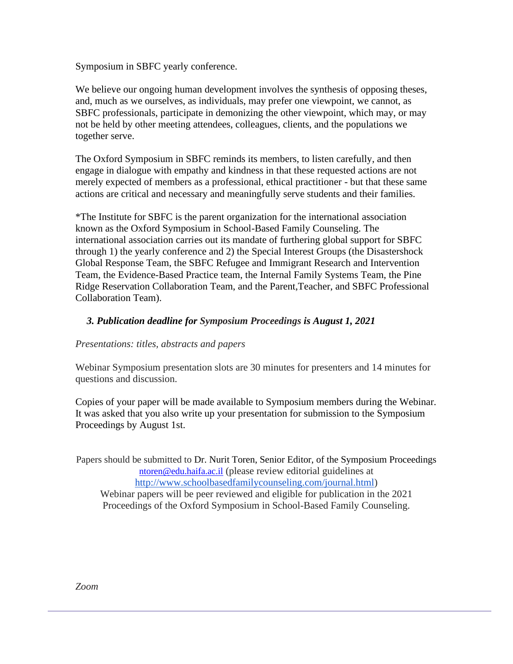Symposium in SBFC yearly conference.

We believe our ongoing human development involves the synthesis of opposing theses, and, much as we ourselves, as individuals, may prefer one viewpoint, we cannot, as SBFC professionals, participate in demonizing the other viewpoint, which may, or may not be held by other meeting attendees, colleagues, clients, and the populations we together serve.

The Oxford Symposium in SBFC reminds its members, to listen carefully, and then engage in dialogue with empathy and kindness in that these requested actions are not merely expected of members as a professional, ethical practitioner - but that these same actions are critical and necessary and meaningfully serve students and their families.

\*The Institute for SBFC is the parent organization for the international association known as the Oxford Symposium in School-Based Family Counseling. The international association carries out its mandate of furthering global support for SBFC through 1) the yearly conference and 2) the Special Interest Groups (the Disastershock Global Response Team, the SBFC Refugee and Immigrant Research and Intervention Team, the Evidence-Based Practice team, the Internal Family Systems Team, the Pine Ridge Reservation Collaboration Team, and the Parent,Teacher, and SBFC Professional Collaboration Team).

## *3. Publication deadline for Symposium Proceedings is August 1, 2021*

#### *Presentations: titles, abstracts and papers*

Webinar Symposium presentation slots are 30 minutes for presenters and 14 minutes for questions and discussion.

Copies of your paper will be made available to Symposium members during the Webinar. It was asked that you also write up your presentation for submission to the Symposium Proceedings by August 1st.

Papers should be submitted to Dr. Nurit Toren, Senior Editor, of the Symposium Proceedings [ntoren@edu.haifa.ac.il](mailto:ntoren@edu.haifa.ac.il) (please review editorial guidelines at [http://www.schoolbasedfamilycounseling.com/journal.html\)](http://www.schoolbasedfamilycounseling.com/journal.html) Webinar papers will be peer reviewed and eligible for publication in the 2021 Proceedings of the Oxford Symposium in School-Based Family Counseling.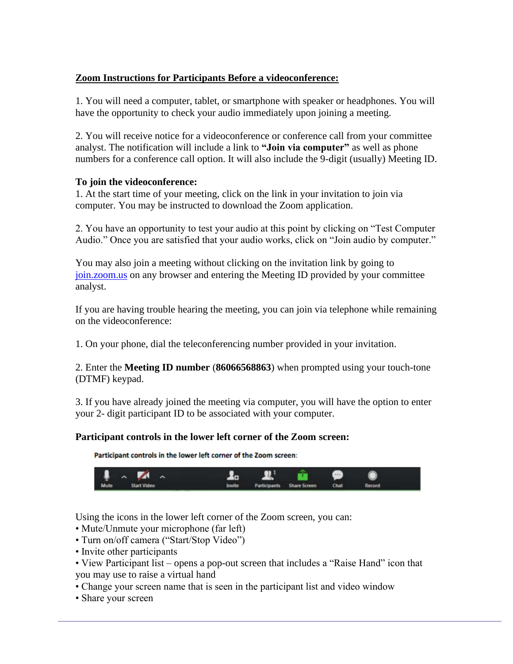## **Zoom Instructions for Participants Before a videoconference:**

1. You will need a computer, tablet, or smartphone with speaker or headphones. You will have the opportunity to check your audio immediately upon joining a meeting.

2. You will receive notice for a videoconference or conference call from your committee analyst. The notification will include a link to **"Join via computer"** as well as phone numbers for a conference call option. It will also include the 9-digit (usually) Meeting ID.

#### **To join the videoconference:**

1. At the start time of your meeting, click on the link in your invitation to join via computer. You may be instructed to download the Zoom application.

2. You have an opportunity to test your audio at this point by clicking on "Test Computer Audio." Once you are satisfied that your audio works, click on "Join audio by computer."

You may also join a meeting without clicking on the invitation link by going to [join.zoom.us](https://zoom.us/join) on any browser and entering the Meeting ID provided by your committee analyst.

If you are having trouble hearing the meeting, you can join via telephone while remaining on the videoconference:

1. On your phone, dial the teleconferencing number provided in your invitation.

2. Enter the **Meeting ID number** (**86066568863**) when prompted using your touch-tone (DTMF) keypad.

3. If you have already joined the meeting via computer, you will have the option to enter your 2- digit participant ID to be associated with your computer.

## **Participant controls in the lower left corner of the Zoom screen:**

Participant controls in the lower left corner of the Zoom screen:



Using the icons in the lower left corner of the Zoom screen, you can:

- Mute/Unmute your microphone (far left)
- Turn on/off camera ("Start/Stop Video")
- Invite other participants

• View Participant list – opens a pop-out screen that includes a "Raise Hand" icon that you may use to raise a virtual hand

- Change your screen name that is seen in the participant list and video window
- Share your screen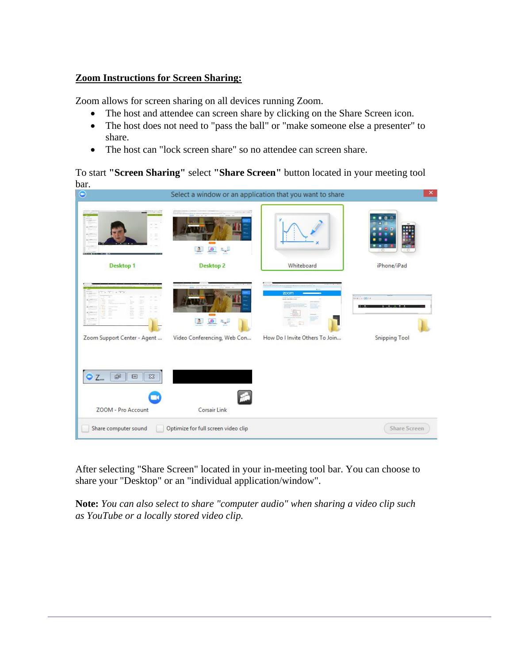## **Zoom Instructions for Screen Sharing:**

Zoom allows for screen sharing on all devices running Zoom.

- The host and attendee can screen share by clicking on the Share Screen icon.
- The host does not need to "pass the ball" or "make someone else a presenter" to share.
- The host can "lock screen share" so no attendee can screen share.

To start **"Screen Sharing"** select **"Share Screen"** button located in your meeting tool bar.

| $\boldsymbol{\Theta}$                                      | ×<br>Select a window or an application that you want to share                   |                                                                             |                                                                                       |  |  |  |  |
|------------------------------------------------------------|---------------------------------------------------------------------------------|-----------------------------------------------------------------------------|---------------------------------------------------------------------------------------|--|--|--|--|
| $-10 - 4 + 1$<br>È.<br>s<br><b>CONTRACTOR</b><br>Desktop 1 | <br>$\frac{M_{\rm{max}}}{\sigma}$<br>$\bullet$<br>泉<br>Desktop <sub>2</sub>     | Whiteboard                                                                  | 000<br><br>iPhone/iPad                                                                |  |  |  |  |
| $-77$<br>is stilled<br>Ē<br>Zoom Support Center - Agent    | $\frac{1}{2}$<br>$\frac{3\pi}{\sqrt{2\pi}}$<br>図<br>Video Conferencing, Web Con | <b>SALES OF</b><br>zoom<br><b>COLLEGE</b><br>How Do I Invite Others To Join | <b>Seattle Office</b><br><b>DECKS</b><br><b>ALCOHOL: NOTE</b><br><b>Snipping Tool</b> |  |  |  |  |
| 中<br>$QZ_{m}$<br>$\Sigma$<br>回<br>ZOOM - Pro Account       | Corsair Link                                                                    |                                                                             |                                                                                       |  |  |  |  |
| Share computer sound                                       | Optimize for full screen video clip                                             |                                                                             | Share Screen                                                                          |  |  |  |  |

After selecting "Share Screen" located in your in-meeting tool bar. You can choose to share your "Desktop" or an "individual application/window".

**Note:** *You can also select to share "computer audio" when sharing a video clip such as YouTube or a locally stored video clip.*